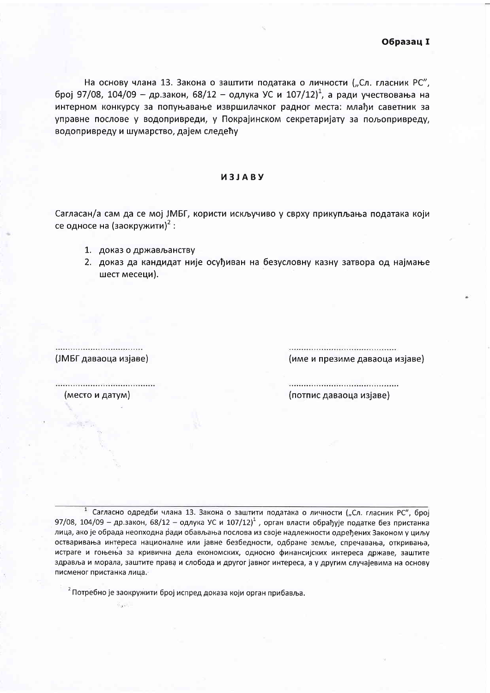На основу члана 13. Закона о заштити података о личности ("Сл. гласник РС", број 97/08, 104/09 - др.закон, 68/12 - одлука УС и 107/12)<sup>1</sup>, а ради учествовања на интерном конкурсу за попуњавање извршилачког радног места: млађи саветник за управне послове у водопривреди, у Покрајинском секретаријату за пољопривреду, водопривреду и шумарство, дајем следећу

## *U3JABY*

Сагласан/а сам да се мој ЈМБГ, користи искључиво у сврху прикупљања података који се односе на (заокружити)<sup>2</sup>:

- 1. доказ о држављанству
- 2. доказ да кандидат није осуђиван на безусловну казну затвора од најмање шест месеци).

(ЈМБГ даваоца изјаве)

 $K_{\text{max}}$ 

(име и презиме даваоца изјаве)

(место и датум)

...................................

(потпис даваоца изјаве)

Сагласно одредби члана 13. Закона о заштити података о личности ("Сл. гласник РС", број 97/08, 104/09 - др.закон, 68/12 - одлука УС и 107/12)<sup>1</sup>, орган власти обрађује податке без пристанка лица, ако је обрада неопходна ради обављања послова из своје надлежности одређених Законом у циљу остваривања интереса националне или јавне безбедности, одбране земље, спречавања, откривања, истраге и гоњења за кривична дела економских, односно финансијских интереса државе, заштите здравља и морала, заштите права и слобода и другог јавног интереса, а у другим случајевима на основу писменог пристанка лица.

<sup>2</sup> Потребно је заокружити број испред доказа који орган прибавља.